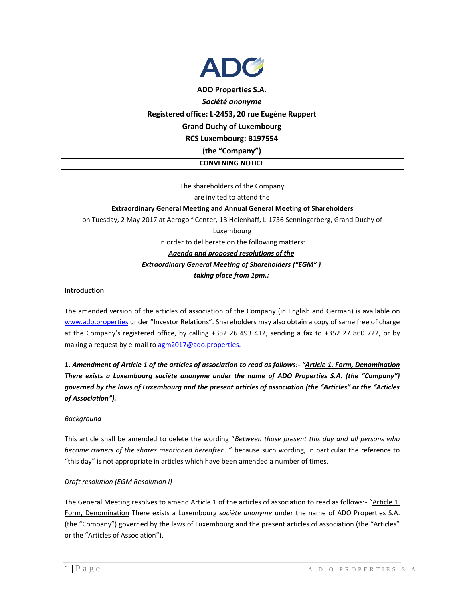

# **ADO Properties S.A.** *Société anonyme* **Registered office: L-2453, 20 rue Eugène Ruppert Grand Duchy of Luxembourg RCS Luxembourg: B197554 (the "Company")**

**CONVENING NOTICE**

The shareholders of the Company are invited to attend the **Extraordinary General Meeting and Annual General Meeting of Shareholders**  on Tuesday, 2 May 2017 at Aerogolf Center, 1B Heienhaff, L-1736 Senningerberg, Grand Duchy of Luxembourg in order to deliberate on the following matters: *Agenda and proposed resolutions of the Extraordinary General Meeting of Shareholders ("EGM" ) taking place from 1pm.:* 

### **Introduction**

The amended version of the articles of association of the Company (in English and German) is available on [www.ado.properties](http://www.ado.properties/) under "Investor Relations". Shareholders may also obtain a copy of same free of charge at the Company's registered office, by calling +352 26 493 412, sending a fax to +352 27 860 722, or by making a request by e-mail to [agm2017@ado.properties.](mailto:agm2017@ado.properties)

**1.** *Amendment of Article 1 of the articles of association to read as follows:- "Article 1. Form, Denomination There exists a Luxembourg sociéte anonyme under the name of ADO Properties S.A. (the "Company") governed by the laws of Luxembourg and the present articles of association (the "Articles" or the "Articles of Association").*

#### *Background*

This article shall be amended to delete the wording "*Between those present this day and all persons who become owners of the shares mentioned hereafter…"* because such wording, in particular the reference to "this day" is not appropriate in articles which have been amended a number of times.

### *Draft resolution (EGM Resolution I)*

The General Meeting resolves to amend Article 1 of the articles of association to read as follows:- "Article 1. Form, Denomination There exists a Luxembourg *sociéte anonyme* under the name of ADO Properties S.A. (the "Company") governed by the laws of Luxembourg and the present articles of association (the "Articles" or the "Articles of Association").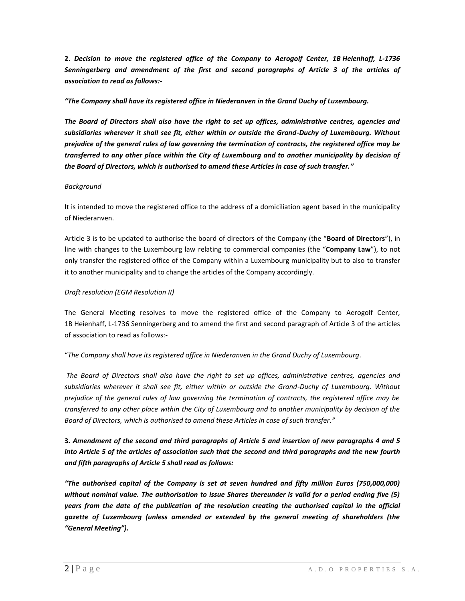**2.** *Decision to move the registered office of the Company to Aerogolf Center, 1B Heienhaff, L-1736 Senningerberg and amendment of the first and second paragraphs of Article 3 of the articles of association to read as follows:-*

### *"The Company shall have its registered office in Niederanven in the Grand Duchy of Luxembourg.*

*The Board of Directors shall also have the right to set up offices, administrative centres, agencies and subsidiaries wherever it shall see fit, either within or outside the Grand-Duchy of Luxembourg. Without prejudice of the general rules of law governing the termination of contracts, the registered office may be transferred to any other place within the City of Luxembourg and to another municipality by decision of the Board of Directors, which is authorised to amend these Articles in case of such transfer."*

### *Background*

It is intended to move the registered office to the address of a domiciliation agent based in the municipality of Niederanven.

Article 3 is to be updated to authorise the board of directors of the Company (the "**Board of Directors**"), in line with changes to the Luxembourg law relating to commercial companies (the "**Company Law**"), to not only transfer the registered office of the Company within a Luxembourg municipality but to also to transfer it to another municipality and to change the articles of the Company accordingly.

### *Draft resolution (EGM Resolution II)*

The General Meeting resolves to move the registered office of the Company to Aerogolf Center, 1B Heienhaff, L-1736 Senningerberg and to amend the first and second paragraph of Article 3 of the articles of association to read as follows:-

### "*The Company shall have its registered office in Niederanven in the Grand Duchy of Luxembourg.*

*The Board of Directors shall also have the right to set up offices, administrative centres, agencies and subsidiaries wherever it shall see fit, either within or outside the Grand-Duchy of Luxembourg. Without prejudice of the general rules of law governing the termination of contracts, the registered office may be transferred to any other place within the City of Luxembourg and to another municipality by decision of the Board of Directors, which is authorised to amend these Articles in case of such transfer."*

# **3.** *Amendment of the second and third paragraphs of Article 5 and insertion of new paragraphs 4 and 5 into Article 5 of the articles of association such that the second and third paragraphs and the new fourth and fifth paragraphs of Article 5 shall read as follows:*

*"The authorised capital of the Company is set at seven hundred and fifty million Euros (750,000,000) without nominal value. The authorisation to issue Shares thereunder is valid for a period ending five (5) years from the date of the publication of the resolution creating the authorised capital in the official gazette of Luxembourg (unless amended or extended by the general meeting of shareholders (the "General Meeting").*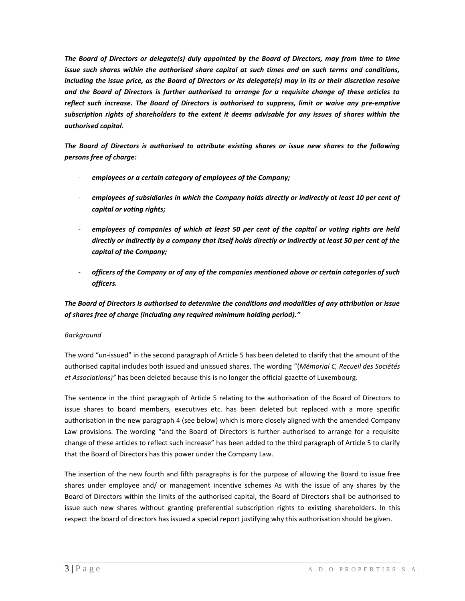*The Board of Directors or delegate(s) duly appointed by the Board of Directors, may from time to time issue such shares within the authorised share capital at such times and on such terms and conditions, including the issue price, as the Board of Directors or its delegate(s) may in its or their discretion resolve and the Board of Directors is further authorised to arrange for a requisite change of these articles to reflect such increase. The Board of Directors is authorised to suppress, limit or waive any pre-emptive subscription rights of shareholders to the extent it deems advisable for any issues of shares within the authorised capital.* 

*The Board of Directors is authorised to attribute existing shares or issue new shares to the following persons free of charge:*

- *employees or a certain category of employees of the Company;*
- *employees of subsidiaries in which the Company holds directly or indirectly at least 10 per cent of capital or voting rights;*
- *employees of companies of which at least 50 per cent of the capital or voting rights are held directly or indirectly by a company that itself holds directly or indirectly at least 50 per cent of the capital of the Company;*
- *officers of the Company or of any of the companies mentioned above or certain categories of such officers.*

# *The Board of Directors is authorised to determine the conditions and modalities of any attribution or issue of shares free of charge (including any required minimum holding period)."*

### *Background*

The word "un-issued" in the second paragraph of Article 5 has been deleted to clarify that the amount of the authorised capital includes both issued and unissued shares. The wording "(*Mémorial C, Recueil des Sociétés et Associations)"* has been deleted because this is no longer the official gazette of Luxembourg.

The sentence in the third paragraph of Article 5 relating to the authorisation of the Board of Directors to issue shares to board members, executives etc. has been deleted but replaced with a more specific authorisation in the new paragraph 4 (see below) which is more closely aligned with the amended Company Law provisions. The wording "and the Board of Directors is further authorised to arrange for a requisite change of these articles to reflect such increase" has been added to the third paragraph of Article 5 to clarify that the Board of Directors has this power under the Company Law.

The insertion of the new fourth and fifth paragraphs is for the purpose of allowing the Board to issue free shares under employee and/ or management incentive schemes As with the issue of any shares by the Board of Directors within the limits of the authorised capital, the Board of Directors shall be authorised to issue such new shares without granting preferential subscription rights to existing shareholders. In this respect the board of directors has issued a special report justifying why this authorisation should be given.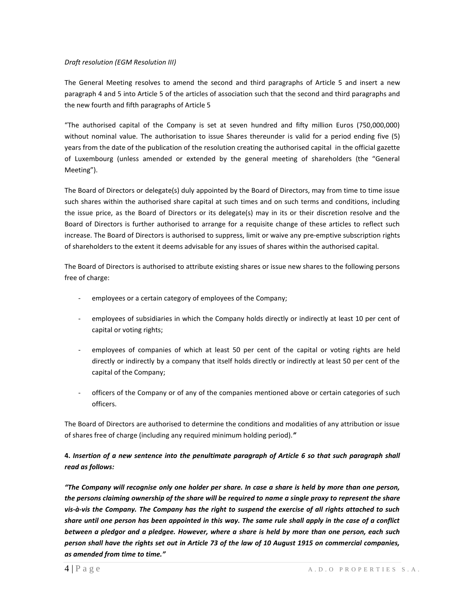#### *Draft resolution (EGM Resolution III)*

The General Meeting resolves to amend the second and third paragraphs of Article 5 and insert a new paragraph 4 and 5 into Article 5 of the articles of association such that the second and third paragraphs and the new fourth and fifth paragraphs of Article 5

"The authorised capital of the Company is set at seven hundred and fifty million Euros (750,000,000) without nominal value. The authorisation to issue Shares thereunder is valid for a period ending five (5) years from the date of the publication of the resolution creating the authorised capital in the official gazette of Luxembourg (unless amended or extended by the general meeting of shareholders (the "General Meeting").

The Board of Directors or delegate(s) duly appointed by the Board of Directors, may from time to time issue such shares within the authorised share capital at such times and on such terms and conditions, including the issue price, as the Board of Directors or its delegate(s) may in its or their discretion resolve and the Board of Directors is further authorised to arrange for a requisite change of these articles to reflect such increase. The Board of Directors is authorised to suppress, limit or waive any pre-emptive subscription rights of shareholders to the extent it deems advisable for any issues of shares within the authorised capital.

The Board of Directors is authorised to attribute existing shares or issue new shares to the following persons free of charge:

- employees or a certain category of employees of the Company;
- employees of subsidiaries in which the Company holds directly or indirectly at least 10 per cent of capital or voting rights;
- employees of companies of which at least 50 per cent of the capital or voting rights are held directly or indirectly by a company that itself holds directly or indirectly at least 50 per cent of the capital of the Company;
- officers of the Company or of any of the companies mentioned above or certain categories of such officers.

The Board of Directors are authorised to determine the conditions and modalities of any attribution or issue of shares free of charge (including any required minimum holding period).*"*

# **4.** *Insertion of a new sentence into the penultimate paragraph of Article 6 so that such paragraph shall read as follows:*

*"The Company will recognise only one holder per share. In case a share is held by more than one person, the persons claiming ownership of the share will be required to name a single proxy to represent the share vis-à-vis the Company. The Company has the right to suspend the exercise of all rights attached to such share until one person has been appointed in this way. The same rule shall apply in the case of a conflict between a pledgor and a pledgee. However, where a share is held by more than one person, each such person shall have the rights set out in Article 73 of the law of 10 August 1915 on commercial companies, as amended from time to time."*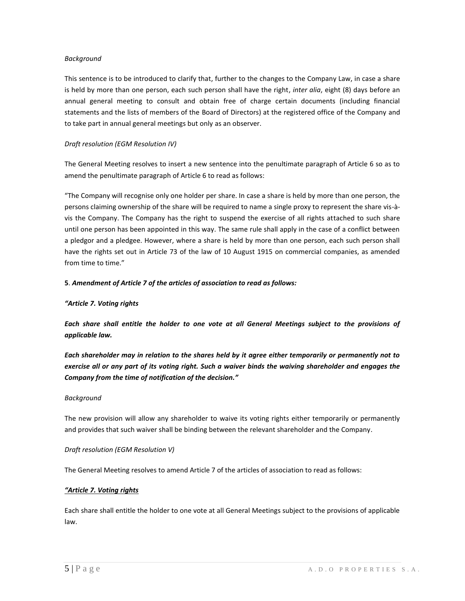### *Background*

This sentence is to be introduced to clarify that, further to the changes to the Company Law, in case a share is held by more than one person, each such person shall have the right, *inter alia*, eight (8) days before an annual general meeting to consult and obtain free of charge certain documents (including financial statements and the lists of members of the Board of Directors) at the registered office of the Company and to take part in annual general meetings but only as an observer.

### *Draft resolution (EGM Resolution IV)*

The General Meeting resolves to insert a new sentence into the penultimate paragraph of Article 6 so as to amend the penultimate paragraph of Article 6 to read as follows:

"The Company will recognise only one holder per share. In case a share is held by more than one person, the persons claiming ownership of the share will be required to name a single proxy to represent the share vis-àvis the Company. The Company has the right to suspend the exercise of all rights attached to such share until one person has been appointed in this way. The same rule shall apply in the case of a conflict between a pledgor and a pledgee. However, where a share is held by more than one person, each such person shall have the rights set out in Article 73 of the law of 10 August 1915 on commercial companies, as amended from time to time."

### **5**. *Amendment of Article 7 of the articles of association to read as follows:*

### *"Article 7. Voting rights*

*Each share shall entitle the holder to one vote at all General Meetings subject to the provisions of applicable law.* 

*Each shareholder may in relation to the shares held by it agree either temporarily or permanently not to exercise all or any part of its voting right. Such a waiver binds the waiving shareholder and engages the Company from the time of notification of the decision."*

### *Background*

The new provision will allow any shareholder to waive its voting rights either temporarily or permanently and provides that such waiver shall be binding between the relevant shareholder and the Company.

### *Draft resolution (EGM Resolution V)*

The General Meeting resolves to amend Article 7 of the articles of association to read as follows:

### *"Article 7. Voting rights*

Each share shall entitle the holder to one vote at all General Meetings subject to the provisions of applicable law.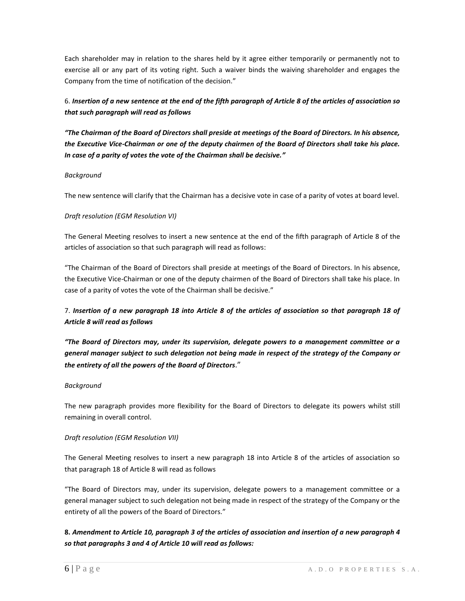Each shareholder may in relation to the shares held by it agree either temporarily or permanently not to exercise all or any part of its voting right. Such a waiver binds the waiving shareholder and engages the Company from the time of notification of the decision."

# 6. *Insertion of a new sentence at the end of the fifth paragraph of Article 8 of the articles of association so that such paragraph will read as follows*

*"The Chairman of the Board of Directors shall preside at meetings of the Board of Directors. In his absence, the Executive Vice-Chairman or one of the deputy chairmen of the Board of Directors shall take his place. In case of a parity of votes the vote of the Chairman shall be decisive."*

### *Background*

The new sentence will clarify that the Chairman has a decisive vote in case of a parity of votes at board level.

### *Draft resolution (EGM Resolution VI)*

The General Meeting resolves to insert a new sentence at the end of the fifth paragraph of Article 8 of the articles of association so that such paragraph will read as follows:

"The Chairman of the Board of Directors shall preside at meetings of the Board of Directors. In his absence, the Executive Vice-Chairman or one of the deputy chairmen of the Board of Directors shall take his place. In case of a parity of votes the vote of the Chairman shall be decisive."

# 7. *Insertion of a new paragraph 18 into Article 8 of the articles of association so that paragraph 18 of Article 8 will read as follows*

*"The Board of Directors may, under its supervision, delegate powers to a management committee or a general manager subject to such delegation not being made in respect of the strategy of the Company or the entirety of all the powers of the Board of Directors*."

### *Background*

The new paragraph provides more flexibility for the Board of Directors to delegate its powers whilst still remaining in overall control.

### *Draft resolution (EGM Resolution VII)*

The General Meeting resolves to insert a new paragraph 18 into Article 8 of the articles of association so that paragraph 18 of Article 8 will read as follows

"The Board of Directors may, under its supervision, delegate powers to a management committee or a general manager subject to such delegation not being made in respect of the strategy of the Company or the entirety of all the powers of the Board of Directors."

# **8.** *Amendment to Article 10, paragraph 3 of the articles of association and insertion of a new paragraph 4 so that paragraphs 3 and 4 of Article 10 will read as follows:*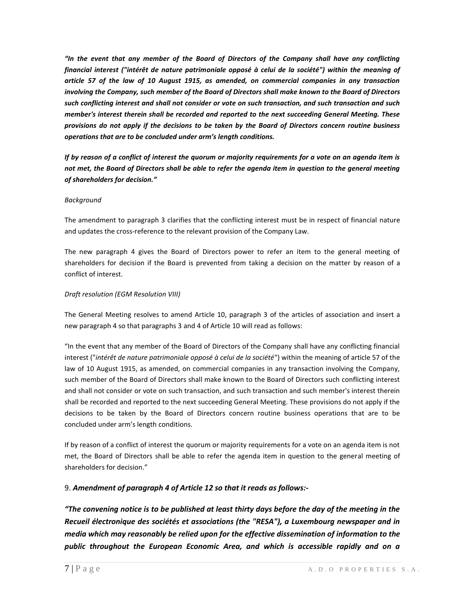*"In the event that any member of the Board of Directors of the Company shall have any conflicting financial interest ("intérêt de nature patrimoniale opposé à celui de la société") within the meaning of article 57 of the law of 10 August 1915, as amended, on commercial companies in any transaction involving the Company, such member of the Board of Directors shall make known to the Board of Directors such conflicting interest and shall not consider or vote on such transaction, and such transaction and such member's interest therein shall be recorded and reported to the next succeeding General Meeting. These provisions do not apply if the decisions to be taken by the Board of Directors concern routine business operations that are to be concluded under arm's length conditions.*

*If by reason of a conflict of interest the quorum or majority requirements for a vote on an agenda item is not met, the Board of Directors shall be able to refer the agenda item in question to the general meeting of shareholders for decision."*

### *Background*

The amendment to paragraph 3 clarifies that the conflicting interest must be in respect of financial nature and updates the cross-reference to the relevant provision of the Company Law.

The new paragraph 4 gives the Board of Directors power to refer an item to the general meeting of shareholders for decision if the Board is prevented from taking a decision on the matter by reason of a conflict of interest.

### *Draft resolution (EGM Resolution VIII)*

The General Meeting resolves to amend Article 10, paragraph 3 of the articles of association and insert a new paragraph 4 so that paragraphs 3 and 4 of Article 10 will read as follows:

"In the event that any member of the Board of Directors of the Company shall have any conflicting financial interest ("*intérêt de nature patrimoniale opposé à celui de la société*") within the meaning of article 57 of the law of 10 August 1915, as amended, on commercial companies in any transaction involving the Company, such member of the Board of Directors shall make known to the Board of Directors such conflicting interest and shall not consider or vote on such transaction, and such transaction and such member's interest therein shall be recorded and reported to the next succeeding General Meeting. These provisions do not apply if the decisions to be taken by the Board of Directors concern routine business operations that are to be concluded under arm's length conditions.

If by reason of a conflict of interest the quorum or majority requirements for a vote on an agenda item is not met, the Board of Directors shall be able to refer the agenda item in question to the general meeting of shareholders for decision."

### 9. *Amendment of paragraph 4 of Article 12 so that it reads as follows:-*

*"The convening notice is to be published at least thirty days before the day of the meeting in the Recueil électronique des sociétés et associations (the "RESA"), a Luxembourg newspaper and in media which may reasonably be relied upon for the effective dissemination of information to the public throughout the European Economic Area, and which is accessible rapidly and on a*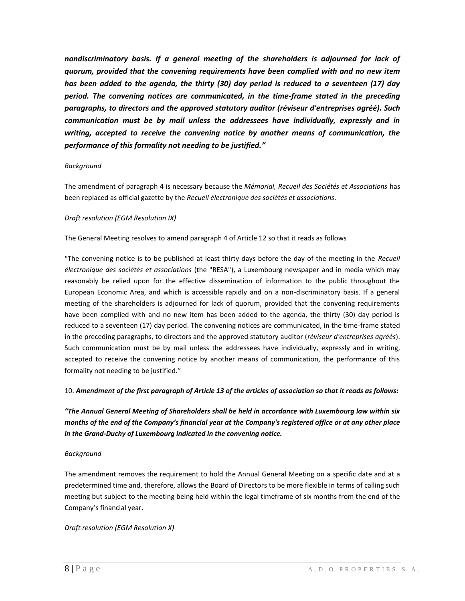*nondiscriminatory basis. If a general meeting of the shareholders is adjourned for lack of quorum, provided that the convening requirements have been complied with and no new item has been added to the agenda, the thirty (30) day period is reduced to a seventeen (17) day period. The convening notices are communicated, in the time-frame stated in the preceding paragraphs, to directors and the approved statutory auditor (réviseur d'entreprises agréé). Such communication must be by mail unless the addressees have individually, expressly and in writing, accepted to receive the convening notice by another means of communication, the performance of this formality not needing to be justified."*

#### *Background*

The amendment of paragraph 4 is necessary because the *Mémorial, Recueil des Sociétés et Associations* has been replaced as official gazette by the *Recueil électronique des sociétés et associations*.

### *Draft resolution (EGM Resolution IX)*

The General Meeting resolves to amend paragraph 4 of Article 12 so that it reads as follows

"The convening notice is to be published at least thirty days before the day of the meeting in the *Recueil électronique des sociétés et associations* (the "RESA"), a Luxembourg newspaper and in media which may reasonably be relied upon for the effective dissemination of information to the public throughout the European Economic Area, and which is accessible rapidly and on a non-discriminatory basis. If a general meeting of the shareholders is adjourned for lack of quorum, provided that the convening requirements have been complied with and no new item has been added to the agenda, the thirty (30) day period is reduced to a seventeen (17) day period. The convening notices are communicated, in the time-frame stated in the preceding paragraphs, to directors and the approved statutory auditor (*réviseur d'entreprises agréés*). Such communication must be by mail unless the addressees have individually, expressly and in writing, accepted to receive the convening notice by another means of communication, the performance of this formality not needing to be justified."

### 10. *Amendment of the first paragraph of Article 13 of the articles of association so that it reads as follows:*

*"The Annual General Meeting of Shareholders shall be held in accordance with Luxembourg law within six months of the end of the Company's financial year at the Company's registered office or at any other place in the Grand-Duchy of Luxembourg indicated in the convening notice.*

### *Background*

The amendment removes the requirement to hold the Annual General Meeting on a specific date and at a predetermined time and, therefore, allows the Board of Directors to be more flexible in terms of calling such meeting but subject to the meeting being held within the legal timeframe of six months from the end of the Company's financial year.

*Draft resolution (EGM Resolution X)*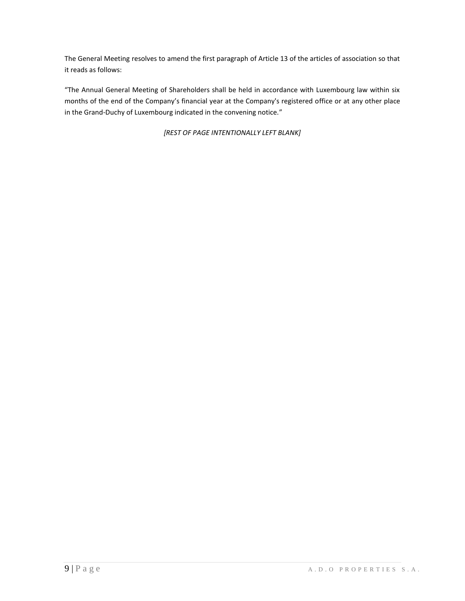The General Meeting resolves to amend the first paragraph of Article 13 of the articles of association so that it reads as follows:

"The Annual General Meeting of Shareholders shall be held in accordance with Luxembourg law within six months of the end of the Company's financial year at the Company's registered office or at any other place in the Grand-Duchy of Luxembourg indicated in the convening notice."

*[REST OF PAGE INTENTIONALLY LEFT BLANK]*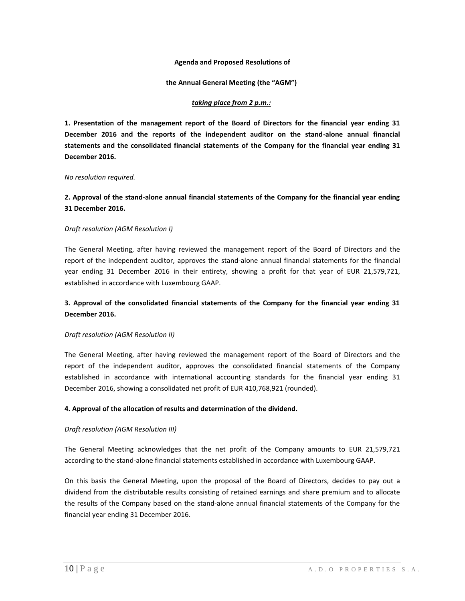### **Agenda and Proposed Resolutions of**

#### **the Annual General Meeting (the "AGM")**

#### *taking place from 2 p.m.:*

**1. Presentation of the management report of the Board of Directors for the financial year ending 31 December 2016 and the reports of the independent auditor on the stand-alone annual financial statements and the consolidated financial statements of the Company for the financial year ending 31 December 2016.**

#### *No resolution required.*

## **2. Approval of the stand-alone annual financial statements of the Company for the financial year ending 31 December 2016.**

#### *Draft resolution (AGM Resolution I)*

The General Meeting, after having reviewed the management report of the Board of Directors and the report of the independent auditor, approves the stand-alone annual financial statements for the financial year ending 31 December 2016 in their entirety, showing a profit for that year of EUR 21,579,721, established in accordance with Luxembourg GAAP.

## **3. Approval of the consolidated financial statements of the Company for the financial year ending 31 December 2016.**

#### *Draft resolution (AGM Resolution II)*

The General Meeting, after having reviewed the management report of the Board of Directors and the report of the independent auditor, approves the consolidated financial statements of the Company established in accordance with international accounting standards for the financial year ending 31 December 2016, showing a consolidated net profit of EUR 410,768,921 (rounded).

#### **4. Approval of the allocation of results and determination of the dividend.**

#### *Draft resolution (AGM Resolution III)*

The General Meeting acknowledges that the net profit of the Company amounts to EUR 21,579,721 according to the stand-alone financial statements established in accordance with Luxembourg GAAP.

On this basis the General Meeting, upon the proposal of the Board of Directors, decides to pay out a dividend from the distributable results consisting of retained earnings and share premium and to allocate the results of the Company based on the stand-alone annual financial statements of the Company for the financial year ending 31 December 2016.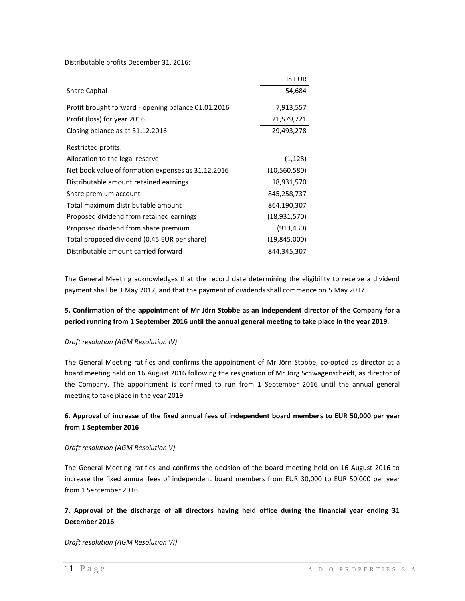Distributable profits December 31, 2016:

|                                                     | In EUR       |
|-----------------------------------------------------|--------------|
| <b>Share Capital</b>                                | 54,684       |
| Profit brought forward - opening balance 01.01.2016 | 7,913,557    |
| Profit (loss) for year 2016                         | 21,579,721   |
| Closing balance as at 31.12.2016                    | 29,493,278   |
| Restricted profits:                                 |              |
| Allocation to the legal reserve                     | (1, 128)     |
| Net book value of formation expenses as 31.12.2016  | (10,560,580) |
| Distributable amount retained earnings              | 18,931,570   |
| Share premium account                               | 845,258,737  |
| Total maximum distributable amount                  | 864,190,307  |
| Proposed dividend from retained earnings            | (18,931,570) |
| Proposed dividend from share premium                | (913,430)    |
| Total proposed dividend (0.45 EUR per share)        | (19,845,000) |
| Distributable amount carried forward                | 844.345.307  |

The General Meeting acknowledges that the record date determining the eligibility to receive a dividend payment shall be 3 May 2017, and that the payment of dividends shall commence on 5 May 2017.

## **5. Confirmation of the appointment of Mr Jörn Stobbe as an independent director of the Company for a period running from 1 September 2016 until the annual general meeting to take place in the year 2019.**

### *Draft resolution (AGM Resolution IV)*

The General Meeting ratifies and confirms the appointment of Mr Jörn Stobbe, co-opted as director at a board meeting held on 16 August 2016 following the resignation of Mr Jörg Schwagenscheidt, as director of the Company. The appointment is confirmed to run from 1 September 2016 until the annual general meeting to take place in the year 2019.

# **6. Approval of increase of the fixed annual fees of independent board members to EUR 50,000 per year from 1 September 2016**

### *Draft resolution (AGM Resolution V)*

The General Meeting ratifies and confirms the decision of the board meeting held on 16 August 2016 to increase the fixed annual fees of independent board members from EUR 30,000 to EUR 50,000 per year from 1 September 2016.

# **7. Approval of the discharge of all directors having held office during the financial year ending 31 December 2016**

### *Draft resolution (AGM Resolution VI)*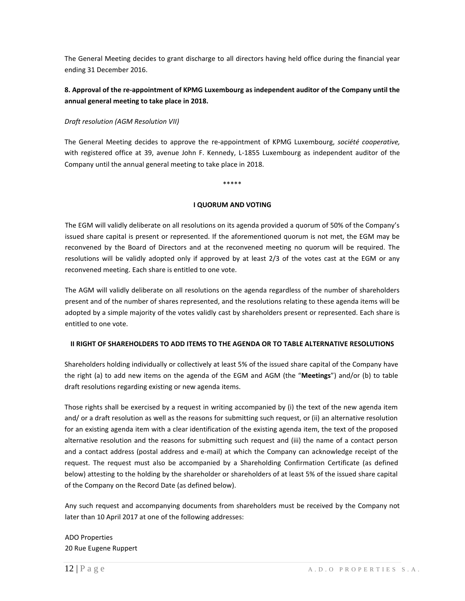The General Meeting decides to grant discharge to all directors having held office during the financial year ending 31 December 2016.

## **8. Approval of the re-appointment of KPMG Luxembourg as independent auditor of the Company until the annual general meeting to take place in 2018.**

### *Draft resolution (AGM Resolution VII)*

The General Meeting decides to approve the re-appointment of KPMG Luxembourg, *société cooperative,* with registered office at 39, avenue John F. Kennedy, L-1855 Luxembourg as independent auditor of the Company until the annual general meeting to take place in 2018.

\*\*\*\*\*

### **I QUORUM AND VOTING**

The EGM will validly deliberate on all resolutions on its agenda provided a quorum of 50% of the Company's issued share capital is present or represented. If the aforementioned quorum is not met, the EGM may be reconvened by the Board of Directors and at the reconvened meeting no quorum will be required. The resolutions will be validly adopted only if approved by at least 2/3 of the votes cast at the EGM or any reconvened meeting. Each share is entitled to one vote.

The AGM will validly deliberate on all resolutions on the agenda regardless of the number of shareholders present and of the number of shares represented, and the resolutions relating to these agenda items will be adopted by a simple majority of the votes validly cast by shareholders present or represented. Each share is entitled to one vote.

### **II RIGHT OF SHAREHOLDERS TO ADD ITEMS TO THE AGENDA OR TO TABLE ALTERNATIVE RESOLUTIONS**

Shareholders holding individually or collectively at least 5% of the issued share capital of the Company have the right (a) to add new items on the agenda of the EGM and AGM (the "**Meetings**") and/or (b) to table draft resolutions regarding existing or new agenda items.

Those rights shall be exercised by a request in writing accompanied by (i) the text of the new agenda item and/ or a draft resolution as well as the reasons for submitting such request, or (ii) an alternative resolution for an existing agenda item with a clear identification of the existing agenda item, the text of the proposed alternative resolution and the reasons for submitting such request and (iii) the name of a contact person and a contact address (postal address and e-mail) at which the Company can acknowledge receipt of the request. The request must also be accompanied by a Shareholding Confirmation Certificate (as defined below) attesting to the holding by the shareholder or shareholders of at least 5% of the issued share capital of the Company on the Record Date (as defined below).

Any such request and accompanying documents from shareholders must be received by the Company not later than 10 April 2017 at one of the following addresses:

ADO Properties 20 Rue Eugene Ruppert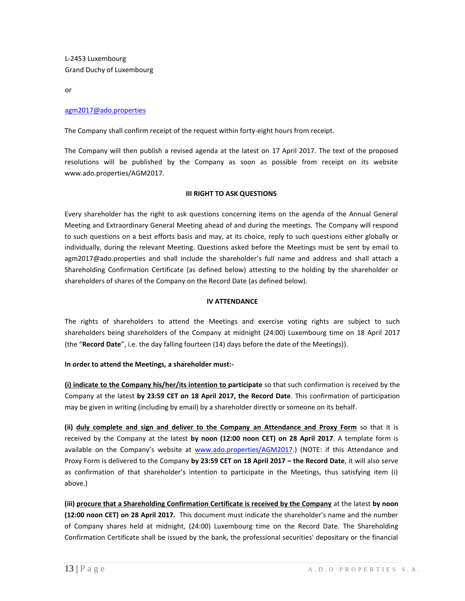L-2453 Luxembourg Grand Duchy of Luxembourg

or

### [agm2017@ado.properties](mailto:agm2017@ado.properties)

The Company shall confirm receipt of the request within forty-eight hours from receipt.

The Company will then publish a revised agenda at the latest on 17 April 2017. The text of the proposed resolutions will be published by the Company as soon as possible from receipt on its website www.ado.properties/AGM2017.

### **III RIGHT TO ASK QUESTIONS**

Every shareholder has the right to ask questions concerning items on the agenda of the Annual General Meeting and Extraordinary General Meeting ahead of and during the meetings. The Company will respond to such questions on a best efforts basis and may, at its choice, reply to such questions either globally or individually, during the relevant Meeting. Questions asked before the Meetings must be sent by email to agm2017@ado.properties and shall include the shareholder's full name and address and shall attach a Shareholding Confirmation Certificate (as defined below) attesting to the holding by the shareholder or shareholders of shares of the Company on the Record Date (as defined below).

### **IV ATTENDANCE**

The rights of shareholders to attend the Meetings and exercise voting rights are subject to such shareholders being shareholders of the Company at midnight (24:00) Luxembourg time on 18 April 2017 (the "**Record Date**", i.e. the day falling fourteen (14) days before the date of the Meetings)).

### **In order to attend the Meetings, a shareholder must:-**

**(i) indicate to the Company his/her/its intention to participate** so that such confirmation is received by the Company at the latest **by 23:59 CET on 18 April 2017, the Record Date**. This confirmation of participation may be given in writing (including by email) by a shareholder directly or someone on its behalf.

**(ii) duly complete and sign and deliver to the Company an Attendance and Proxy Form** so that it is received by the Company at the latest **by noon (12:00 noon CET) on 28 April 2017**. A template form is available on the Company's website at [www.ado.properties/AGM2017.](http://www.ado.properties/AGM2016)) (NOTE: if this Attendance and Proxy Form is delivered to the Company **by 23:59 CET on 18 April 2017 – the Record Date**, it will also serve as confirmation of that shareholder's intention to participate in the Meetings, thus satisfying item (i) above.)

**(iii) procure that a Shareholding Confirmation Certificate is received by the Company** at the latest **by noon (12:00 noon CET) on 28 April 2017.** This document must indicate the shareholder's name and the number of Company shares held at midnight, (24:00) Luxembourg time on the Record Date. The Shareholding Confirmation Certificate shall be issued by the bank, the professional securities' depositary or the financial